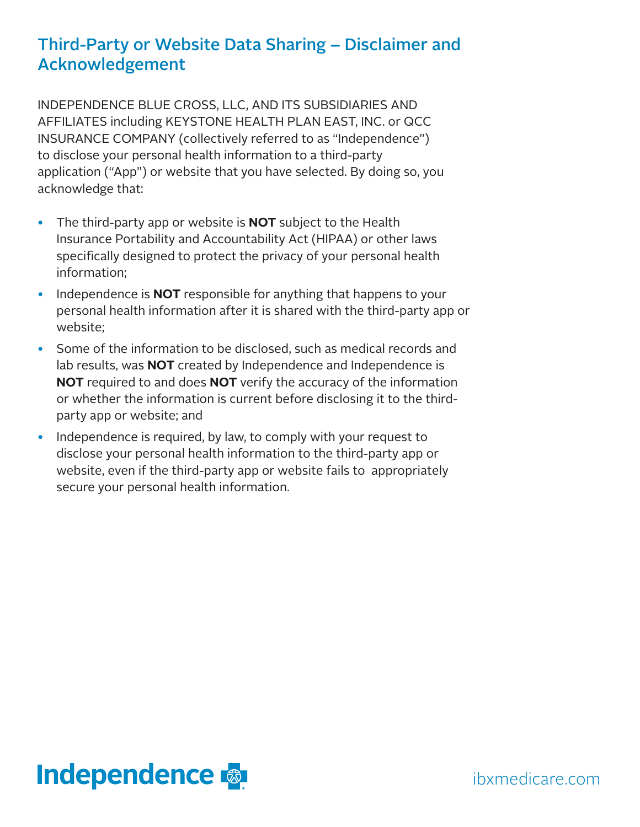# Third-Party or Website Data Sharing – Disclaimer and Acknowledgement

INDEPENDENCE BLUE CROSS, LLC, AND ITS SUBSIDIARIES AND AFFILIATES including KEYSTONE HEALTH PLAN EAST, INC. or QCC INSURANCE COMPANY (collectively referred to as "Independence") to disclose your personal health information to a third-party application ("App") or website that you have selected. By doing so, you acknowledge that:

- The third-party app or website is **NOT** subject to the Health Insurance Portability and Accountability Act (HIPAA) or other laws specifically designed to protect the privacy of your personal health information;
- Independence is **NOT** responsible for anything that happens to your personal health information after it is shared with the third-party app or website;
- Some of the information to be disclosed, such as medical records and lab results, was **NOT** created by Independence and Independence is **NOT** required to and does **NOT** verify the accuracy of the information or whether the information is current before disclosing it to the thirdparty app or website; and
- Independence is required, by law, to comply with your request to disclose your personal health information to the third-party app or website, even if the third-party app or website fails to appropriately secure your personal health information.

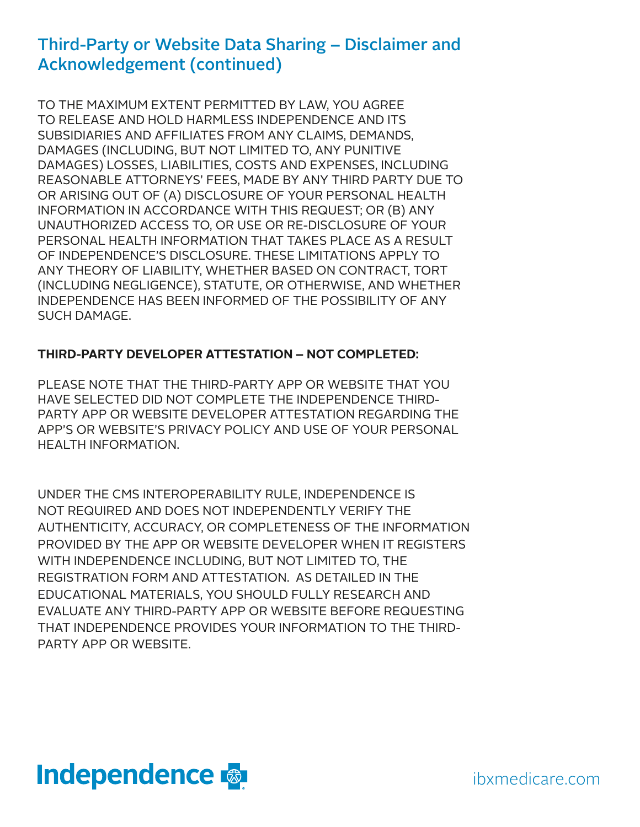### Third-Party or Website Data Sharing – Disclaimer and Acknowledgement (continued)

TO THE MAXIMUM EXTENT PERMITTED BY LAW, YOU AGREE TO RELEASE AND HOLD HARMLESS INDEPENDENCE AND ITS SUBSIDIARIES AND AFFILIATES FROM ANY CLAIMS, DEMANDS, DAMAGES (INCLUDING, BUT NOT LIMITED TO, ANY PUNITIVE DAMAGES) LOSSES, LIABILITIES, COSTS AND EXPENSES, INCLUDING REASONABLE ATTORNEYS' FEES, MADE BY ANY THIRD PARTY DUE TO OR ARISING OUT OF (A) DISCLOSURE OF YOUR PERSONAL HEALTH INFORMATION IN ACCORDANCE WITH THIS REQUEST; OR (B) ANY UNAUTHORIZED ACCESS TO, OR USE OR RE-DISCLOSURE OF YOUR PERSONAL HEALTH INFORMATION THAT TAKES PLACE AS A RESULT OF INDEPENDENCE'S DISCLOSURE. THESE LIMITATIONS APPLY TO ANY THEORY OF LIABILITY, WHETHER BASED ON CONTRACT, TORT (INCLUDING NEGLIGENCE), STATUTE, OR OTHERWISE, AND WHETHER INDEPENDENCE HAS BEEN INFORMED OF THE POSSIBILITY OF ANY SUCH DAMAGE.

#### **THIRD-PARTY DEVELOPER ATTESTATION – NOT COMPLETED:**

PLEASE NOTE THAT THE THIRD-PARTY APP OR WEBSITE THAT YOU HAVE SELECTED DID NOT COMPLETE THE INDEPENDENCE THIRD-PARTY APP OR WEBSITE DEVELOPER ATTESTATION REGARDING THE APP'S OR WEBSITE'S PRIVACY POLICY AND USE OF YOUR PERSONAL HEALTH INFORMATION.

UNDER THE CMS INTEROPERABILITY RULE, INDEPENDENCE IS NOT REQUIRED AND DOES NOT INDEPENDENTLY VERIFY THE AUTHENTICITY, ACCURACY, OR COMPLETENESS OF THE INFORMATION PROVIDED BY THE APP OR WEBSITE DEVELOPER WHEN IT REGISTERS WITH INDEPENDENCE INCLUDING, BUT NOT LIMITED TO, THE REGISTRATION FORM AND ATTESTATION. AS DETAILED IN THE EDUCATIONAL MATERIALS, YOU SHOULD FULLY RESEARCH AND EVALUATE ANY THIRD-PARTY APP OR WEBSITE BEFORE REQUESTING THAT INDEPENDENCE PROVIDES YOUR INFORMATION TO THE THIRD-PARTY APP OR WEBSITE.



ibxmedicare.com